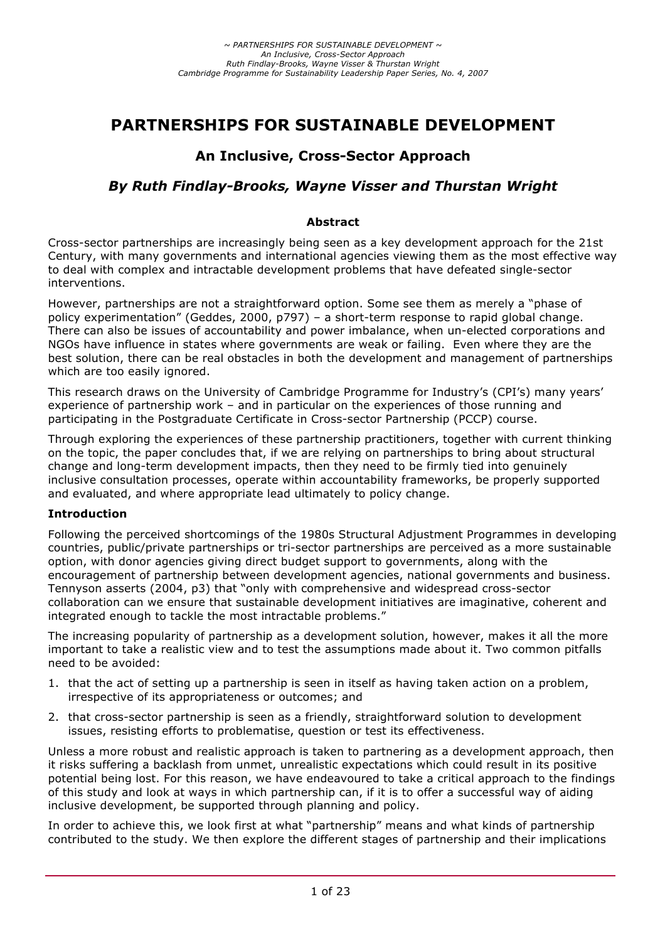# **PARTNERSHIPS FOR SUSTAINABLE DEVELOPMENT**

# **An Inclusive, Cross-Sector Approach**

# *By Ruth Findlay-Brooks, Wayne Visser and Thurstan Wright*

### **Abstract**

Cross-sector partnerships are increasingly being seen as a key development approach for the 21st Century, with many governments and international agencies viewing them as the most effective way to deal with complex and intractable development problems that have defeated single-sector interventions.

However, partnerships are not a straightforward option. Some see them as merely a "phase of policy experimentation" (Geddes, 2000, p797) – a short-term response to rapid global change. There can also be issues of accountability and power imbalance, when un-elected corporations and NGOs have influence in states where governments are weak or failing. Even where they are the best solution, there can be real obstacles in both the development and management of partnerships which are too easily ignored.

This research draws on the University of Cambridge Programme for Industry's (CPI's) many years' experience of partnership work – and in particular on the experiences of those running and participating in the Postgraduate Certificate in Cross-sector Partnership (PCCP) course.

Through exploring the experiences of these partnership practitioners, together with current thinking on the topic, the paper concludes that, if we are relying on partnerships to bring about structural change and long-term development impacts, then they need to be firmly tied into genuinely inclusive consultation processes, operate within accountability frameworks, be properly supported and evaluated, and where appropriate lead ultimately to policy change.

#### **Introduction**

Following the perceived shortcomings of the 1980s Structural Adjustment Programmes in developing countries, public/private partnerships or tri-sector partnerships are perceived as a more sustainable option, with donor agencies giving direct budget support to governments, along with the encouragement of partnership between development agencies, national governments and business. Tennyson asserts (2004, p3) that "only with comprehensive and widespread cross-sector collaboration can we ensure that sustainable development initiatives are imaginative, coherent and integrated enough to tackle the most intractable problems."

The increasing popularity of partnership as a development solution, however, makes it all the more important to take a realistic view and to test the assumptions made about it. Two common pitfalls need to be avoided:

- 1. that the act of setting up a partnership is seen in itself as having taken action on a problem, irrespective of its appropriateness or outcomes; and
- 2. that cross-sector partnership is seen as a friendly, straightforward solution to development issues, resisting efforts to problematise, question or test its effectiveness.

Unless a more robust and realistic approach is taken to partnering as a development approach, then it risks suffering a backlash from unmet, unrealistic expectations which could result in its positive potential being lost. For this reason, we have endeavoured to take a critical approach to the findings of this study and look at ways in which partnership can, if it is to offer a successful way of aiding inclusive development, be supported through planning and policy.

In order to achieve this, we look first at what "partnership" means and what kinds of partnership contributed to the study. We then explore the different stages of partnership and their implications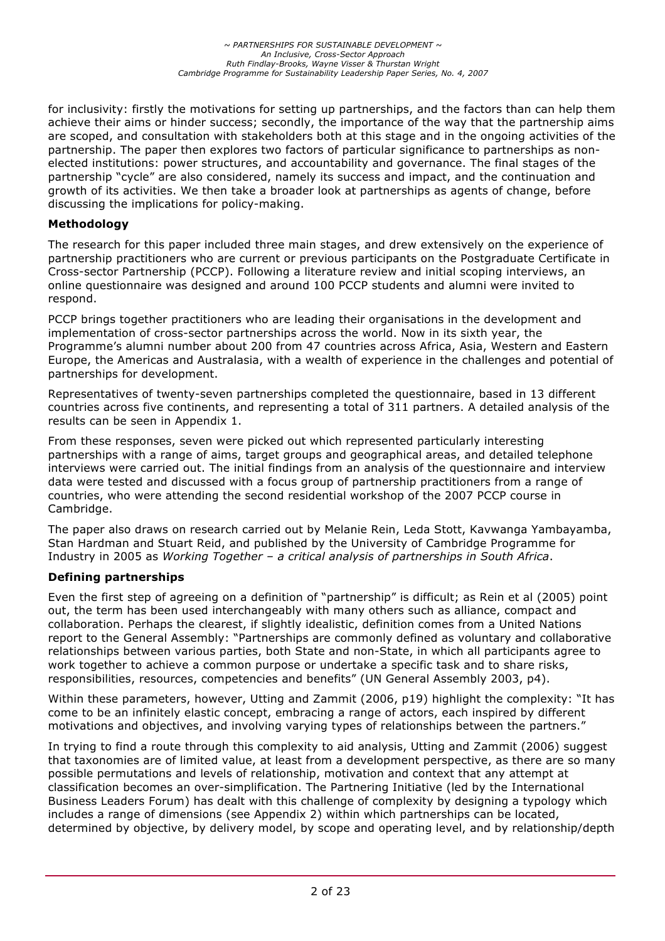for inclusivity: firstly the motivations for setting up partnerships, and the factors than can help them achieve their aims or hinder success; secondly, the importance of the way that the partnership aims are scoped, and consultation with stakeholders both at this stage and in the ongoing activities of the partnership. The paper then explores two factors of particular significance to partnerships as nonelected institutions: power structures, and accountability and governance. The final stages of the partnership "cycle" are also considered, namely its success and impact, and the continuation and growth of its activities. We then take a broader look at partnerships as agents of change, before discussing the implications for policy-making.

### **Methodology**

The research for this paper included three main stages, and drew extensively on the experience of partnership practitioners who are current or previous participants on the Postgraduate Certificate in Cross-sector Partnership (PCCP). Following a literature review and initial scoping interviews, an online questionnaire was designed and around 100 PCCP students and alumni were invited to respond.

PCCP brings together practitioners who are leading their organisations in the development and implementation of cross-sector partnerships across the world. Now in its sixth year, the Programme's alumni number about 200 from 47 countries across Africa, Asia, Western and Eastern Europe, the Americas and Australasia, with a wealth of experience in the challenges and potential of partnerships for development.

Representatives of twenty-seven partnerships completed the questionnaire, based in 13 different countries across five continents, and representing a total of 311 partners. A detailed analysis of the results can be seen in Appendix 1.

From these responses, seven were picked out which represented particularly interesting partnerships with a range of aims, target groups and geographical areas, and detailed telephone interviews were carried out. The initial findings from an analysis of the questionnaire and interview data were tested and discussed with a focus group of partnership practitioners from a range of countries, who were attending the second residential workshop of the 2007 PCCP course in Cambridge.

The paper also draws on research carried out by Melanie Rein, Leda Stott, Kavwanga Yambayamba, Stan Hardman and Stuart Reid, and published by the University of Cambridge Programme for Industry in 2005 as *Working Together – a critical analysis of partnerships in South Africa*.

# **Defining partnerships**

Even the first step of agreeing on a definition of "partnership" is difficult; as Rein et al (2005) point out, the term has been used interchangeably with many others such as alliance, compact and collaboration. Perhaps the clearest, if slightly idealistic, definition comes from a United Nations report to the General Assembly: "Partnerships are commonly defined as voluntary and collaborative relationships between various parties, both State and non-State, in which all participants agree to work together to achieve a common purpose or undertake a specific task and to share risks, responsibilities, resources, competencies and benefits" (UN General Assembly 2003, p4).

Within these parameters, however, Utting and Zammit (2006, p19) highlight the complexity: "It has come to be an infinitely elastic concept, embracing a range of actors, each inspired by different motivations and objectives, and involving varying types of relationships between the partners."

In trying to find a route through this complexity to aid analysis, Utting and Zammit (2006) suggest that taxonomies are of limited value, at least from a development perspective, as there are so many possible permutations and levels of relationship, motivation and context that any attempt at classification becomes an over-simplification. The Partnering Initiative (led by the International Business Leaders Forum) has dealt with this challenge of complexity by designing a typology which includes a range of dimensions (see Appendix 2) within which partnerships can be located, determined by objective, by delivery model, by scope and operating level, and by relationship/depth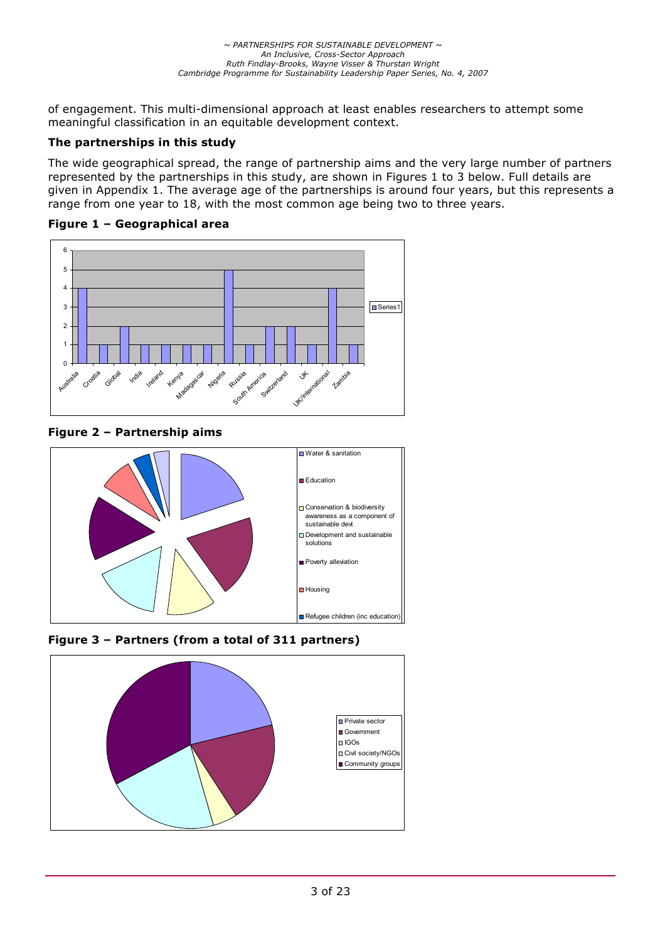of engagement. This multi-dimensional approach at least enables researchers to attempt some meaningful classification in an equitable development context.

# **The partnerships in this study**

The wide geographical spread, the range of partnership aims and the very large number of partners represented by the partnerships in this study, are shown in Figures 1 to 3 below. Full details are given in Appendix 1. The average age of the partnerships is around four years, but this represents a range from one year to 18, with the most common age being two to three years.

# **Figure 1 – Geographical area**



**Figure 2 – Partnership aims**



**Figure 3 – Partners (from a total of 311 partners)** 

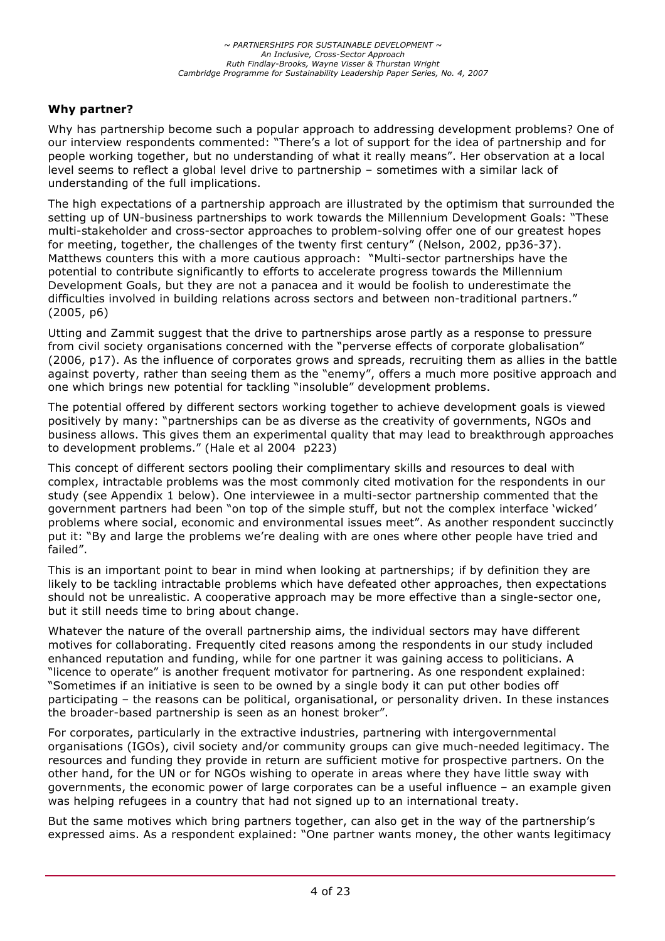# **Why partner?**

Why has partnership become such a popular approach to addressing development problems? One of our interview respondents commented: "There's a lot of support for the idea of partnership and for people working together, but no understanding of what it really means". Her observation at a local level seems to reflect a global level drive to partnership – sometimes with a similar lack of understanding of the full implications.

The high expectations of a partnership approach are illustrated by the optimism that surrounded the setting up of UN-business partnerships to work towards the Millennium Development Goals: "These multi-stakeholder and cross-sector approaches to problem-solving offer one of our greatest hopes for meeting, together, the challenges of the twenty first century" (Nelson, 2002, pp36-37). Matthews counters this with a more cautious approach: "Multi-sector partnerships have the potential to contribute significantly to efforts to accelerate progress towards the Millennium Development Goals, but they are not a panacea and it would be foolish to underestimate the difficulties involved in building relations across sectors and between non-traditional partners." (2005, p6)

Utting and Zammit suggest that the drive to partnerships arose partly as a response to pressure from civil society organisations concerned with the "perverse effects of corporate globalisation" (2006, p17). As the influence of corporates grows and spreads, recruiting them as allies in the battle against poverty, rather than seeing them as the "enemy", offers a much more positive approach and one which brings new potential for tackling "insoluble" development problems.

The potential offered by different sectors working together to achieve development goals is viewed positively by many: "partnerships can be as diverse as the creativity of governments, NGOs and business allows. This gives them an experimental quality that may lead to breakthrough approaches to development problems." (Hale et al 2004 p223)

This concept of different sectors pooling their complimentary skills and resources to deal with complex, intractable problems was the most commonly cited motivation for the respondents in our study (see Appendix 1 below). One interviewee in a multi-sector partnership commented that the government partners had been "on top of the simple stuff, but not the complex interface 'wicked' problems where social, economic and environmental issues meet". As another respondent succinctly put it: "By and large the problems we're dealing with are ones where other people have tried and failed".

This is an important point to bear in mind when looking at partnerships; if by definition they are likely to be tackling intractable problems which have defeated other approaches, then expectations should not be unrealistic. A cooperative approach may be more effective than a single-sector one, but it still needs time to bring about change.

Whatever the nature of the overall partnership aims, the individual sectors may have different motives for collaborating. Frequently cited reasons among the respondents in our study included enhanced reputation and funding, while for one partner it was gaining access to politicians. A "licence to operate" is another frequent motivator for partnering. As one respondent explained: "Sometimes if an initiative is seen to be owned by a single body it can put other bodies off participating – the reasons can be political, organisational, or personality driven. In these instances the broader-based partnership is seen as an honest broker".

For corporates, particularly in the extractive industries, partnering with intergovernmental organisations (IGOs), civil society and/or community groups can give much-needed legitimacy. The resources and funding they provide in return are sufficient motive for prospective partners. On the other hand, for the UN or for NGOs wishing to operate in areas where they have little sway with governments, the economic power of large corporates can be a useful influence – an example given was helping refugees in a country that had not signed up to an international treaty.

But the same motives which bring partners together, can also get in the way of the partnership's expressed aims. As a respondent explained: "One partner wants money, the other wants legitimacy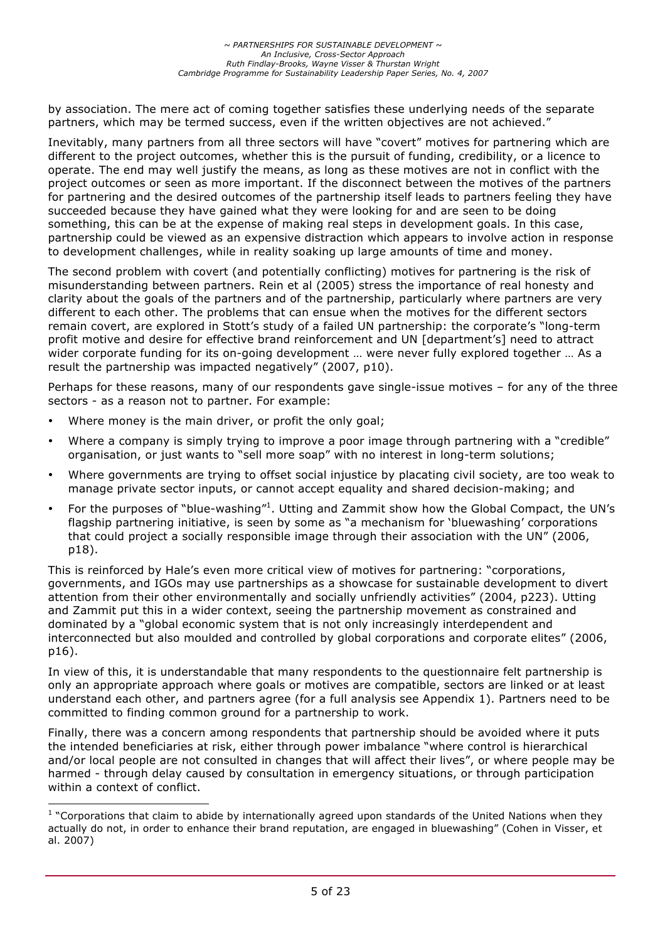by association. The mere act of coming together satisfies these underlying needs of the separate partners, which may be termed success, even if the written objectives are not achieved."

Inevitably, many partners from all three sectors will have "covert" motives for partnering which are different to the project outcomes, whether this is the pursuit of funding, credibility, or a licence to operate. The end may well justify the means, as long as these motives are not in conflict with the project outcomes or seen as more important. If the disconnect between the motives of the partners for partnering and the desired outcomes of the partnership itself leads to partners feeling they have succeeded because they have gained what they were looking for and are seen to be doing something, this can be at the expense of making real steps in development goals. In this case, partnership could be viewed as an expensive distraction which appears to involve action in response to development challenges, while in reality soaking up large amounts of time and money.

The second problem with covert (and potentially conflicting) motives for partnering is the risk of misunderstanding between partners. Rein et al (2005) stress the importance of real honesty and clarity about the goals of the partners and of the partnership, particularly where partners are very different to each other. The problems that can ensue when the motives for the different sectors remain covert, are explored in Stott's study of a failed UN partnership: the corporate's "long-term profit motive and desire for effective brand reinforcement and UN [department's] need to attract wider corporate funding for its on-going development … were never fully explored together … As a result the partnership was impacted negatively" (2007, p10).

Perhaps for these reasons, many of our respondents gave single-issue motives – for any of the three sectors - as a reason not to partner. For example:

Where money is the main driver, or profit the only goal;

 $\overline{a}$ 

- Where a company is simply trying to improve a poor image through partnering with a "credible" organisation, or just wants to "sell more soap" with no interest in long-term solutions;
- Where governments are trying to offset social injustice by placating civil society, are too weak to manage private sector inputs, or cannot accept equality and shared decision-making; and
- For the purposes of "blue-washing"<sup>1</sup>. Utting and Zammit show how the Global Compact, the UN's flagship partnering initiative, is seen by some as "a mechanism for 'bluewashing' corporations that could project a socially responsible image through their association with the UN" (2006, p18).

This is reinforced by Hale's even more critical view of motives for partnering: "corporations, governments, and IGOs may use partnerships as a showcase for sustainable development to divert attention from their other environmentally and socially unfriendly activities" (2004, p223). Utting and Zammit put this in a wider context, seeing the partnership movement as constrained and dominated by a "global economic system that is not only increasingly interdependent and interconnected but also moulded and controlled by global corporations and corporate elites" (2006, p16).

In view of this, it is understandable that many respondents to the questionnaire felt partnership is only an appropriate approach where goals or motives are compatible, sectors are linked or at least understand each other, and partners agree (for a full analysis see Appendix 1). Partners need to be committed to finding common ground for a partnership to work.

Finally, there was a concern among respondents that partnership should be avoided where it puts the intended beneficiaries at risk, either through power imbalance "where control is hierarchical and/or local people are not consulted in changes that will affect their lives", or where people may be harmed - through delay caused by consultation in emergency situations, or through participation within a context of conflict.

 $1$  "Corporations that claim to abide by internationally agreed upon standards of the United Nations when they actually do not, in order to enhance their brand reputation, are engaged in bluewashing" (Cohen in Visser, et al. 2007)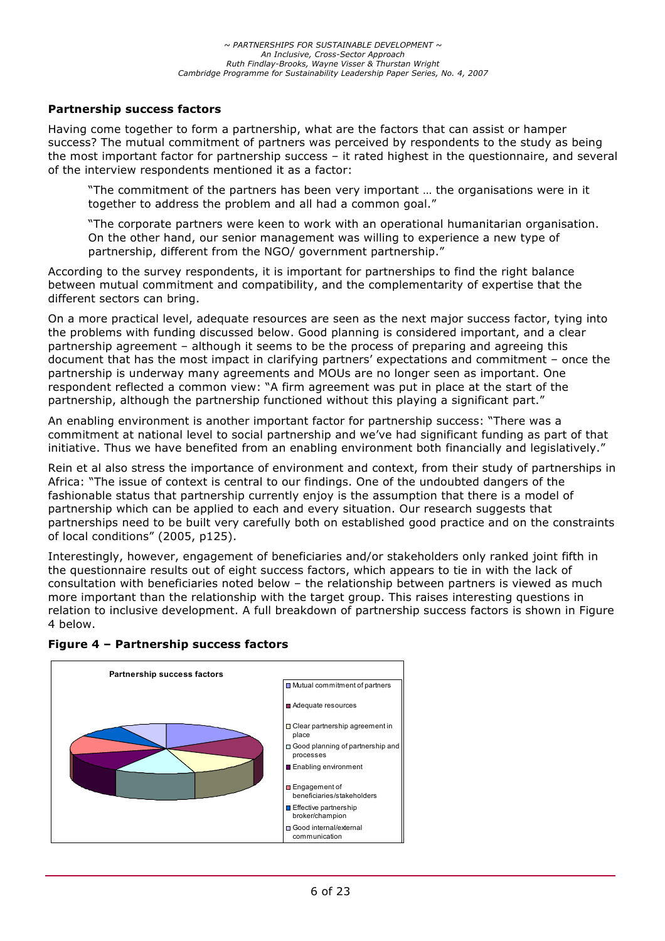### **Partnership success factors**

Having come together to form a partnership, what are the factors that can assist or hamper success? The mutual commitment of partners was perceived by respondents to the study as being the most important factor for partnership success – it rated highest in the questionnaire, and several of the interview respondents mentioned it as a factor:

"The commitment of the partners has been very important … the organisations were in it together to address the problem and all had a common goal."

"The corporate partners were keen to work with an operational humanitarian organisation. On the other hand, our senior management was willing to experience a new type of partnership, different from the NGO/ government partnership."

According to the survey respondents, it is important for partnerships to find the right balance between mutual commitment and compatibility, and the complementarity of expertise that the different sectors can bring.

On a more practical level, adequate resources are seen as the next major success factor, tying into the problems with funding discussed below. Good planning is considered important, and a clear partnership agreement – although it seems to be the process of preparing and agreeing this document that has the most impact in clarifying partners' expectations and commitment – once the partnership is underway many agreements and MOUs are no longer seen as important. One respondent reflected a common view: "A firm agreement was put in place at the start of the partnership, although the partnership functioned without this playing a significant part."

An enabling environment is another important factor for partnership success: "There was a commitment at national level to social partnership and we've had significant funding as part of that initiative. Thus we have benefited from an enabling environment both financially and legislatively."

Rein et al also stress the importance of environment and context, from their study of partnerships in Africa: "The issue of context is central to our findings. One of the undoubted dangers of the fashionable status that partnership currently enjoy is the assumption that there is a model of partnership which can be applied to each and every situation. Our research suggests that partnerships need to be built very carefully both on established good practice and on the constraints of local conditions" (2005, p125).

Interestingly, however, engagement of beneficiaries and/or stakeholders only ranked joint fifth in the questionnaire results out of eight success factors, which appears to tie in with the lack of consultation with beneficiaries noted below – the relationship between partners is viewed as much more important than the relationship with the target group. This raises interesting questions in relation to inclusive development. A full breakdown of partnership success factors is shown in Figure 4 below.

# **Figure 4 – Partnership success factors**

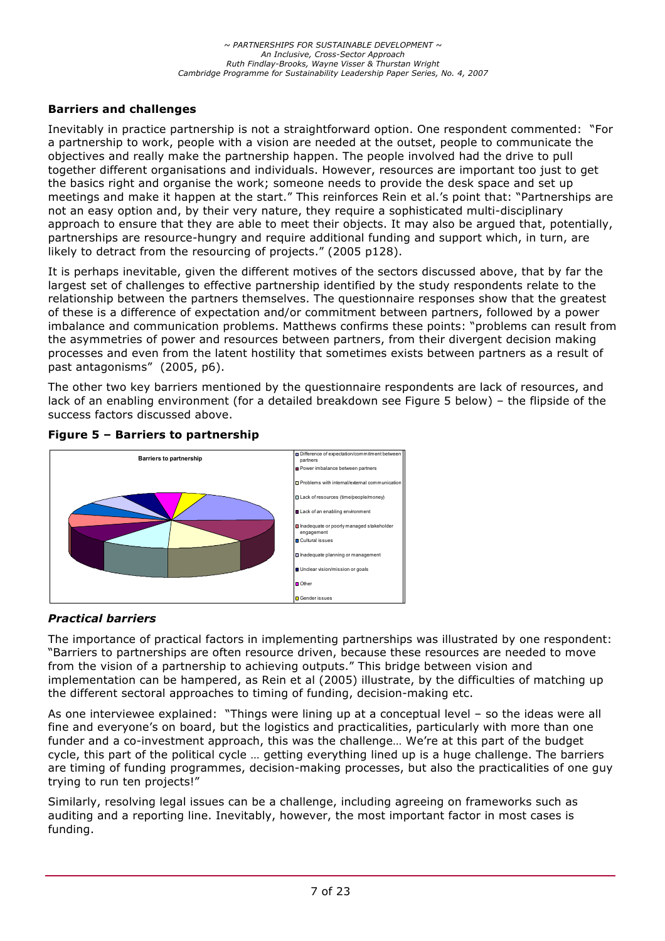# **Barriers and challenges**

Inevitably in practice partnership is not a straightforward option. One respondent commented: "For a partnership to work, people with a vision are needed at the outset, people to communicate the objectives and really make the partnership happen. The people involved had the drive to pull together different organisations and individuals. However, resources are important too just to get the basics right and organise the work; someone needs to provide the desk space and set up meetings and make it happen at the start." This reinforces Rein et al.'s point that: "Partnerships are not an easy option and, by their very nature, they require a sophisticated multi-disciplinary approach to ensure that they are able to meet their objects. It may also be argued that, potentially, partnerships are resource-hungry and require additional funding and support which, in turn, are likely to detract from the resourcing of projects." (2005 p128).

It is perhaps inevitable, given the different motives of the sectors discussed above, that by far the largest set of challenges to effective partnership identified by the study respondents relate to the relationship between the partners themselves. The questionnaire responses show that the greatest of these is a difference of expectation and/or commitment between partners, followed by a power imbalance and communication problems. Matthews confirms these points: "problems can result from the asymmetries of power and resources between partners, from their divergent decision making processes and even from the latent hostility that sometimes exists between partners as a result of past antagonisms" (2005, p6).

The other two key barriers mentioned by the questionnaire respondents are lack of resources, and lack of an enabling environment (for a detailed breakdown see Figure 5 below) – the flipside of the success factors discussed above.



#### **Figure 5 – Barriers to partnership**

# *Practical barriers*

The importance of practical factors in implementing partnerships was illustrated by one respondent: "Barriers to partnerships are often resource driven, because these resources are needed to move from the vision of a partnership to achieving outputs." This bridge between vision and implementation can be hampered, as Rein et al (2005) illustrate, by the difficulties of matching up the different sectoral approaches to timing of funding, decision-making etc.

As one interviewee explained: "Things were lining up at a conceptual level – so the ideas were all fine and everyone's on board, but the logistics and practicalities, particularly with more than one funder and a co-investment approach, this was the challenge… We're at this part of the budget cycle, this part of the political cycle … getting everything lined up is a huge challenge. The barriers are timing of funding programmes, decision-making processes, but also the practicalities of one guy trying to run ten projects!"

Similarly, resolving legal issues can be a challenge, including agreeing on frameworks such as auditing and a reporting line. Inevitably, however, the most important factor in most cases is funding.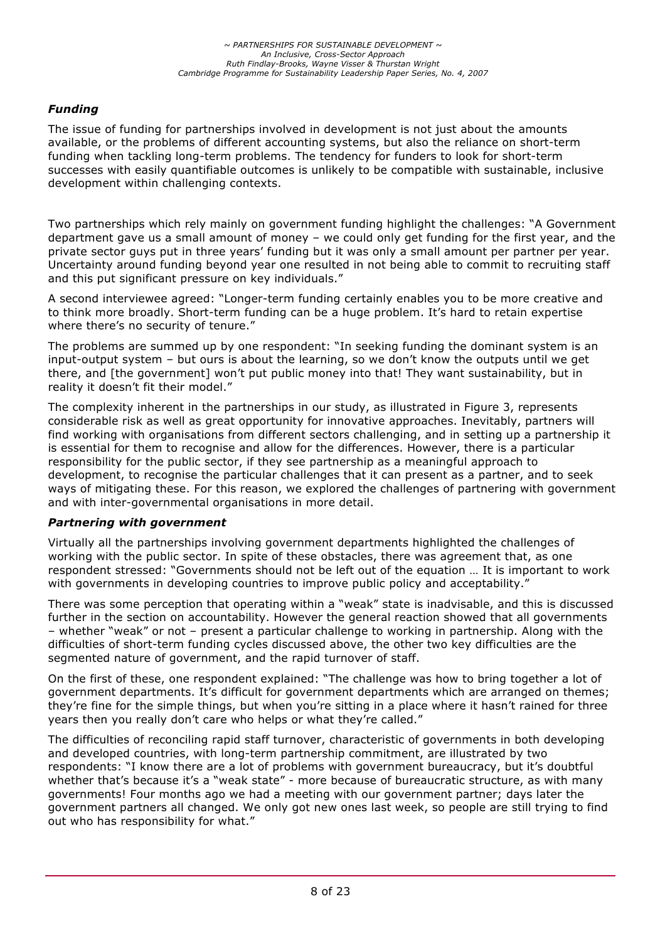# *Funding*

The issue of funding for partnerships involved in development is not just about the amounts available, or the problems of different accounting systems, but also the reliance on short-term funding when tackling long-term problems. The tendency for funders to look for short-term successes with easily quantifiable outcomes is unlikely to be compatible with sustainable, inclusive development within challenging contexts.

Two partnerships which rely mainly on government funding highlight the challenges: "A Government department gave us a small amount of money – we could only get funding for the first year, and the private sector guys put in three years' funding but it was only a small amount per partner per year. Uncertainty around funding beyond year one resulted in not being able to commit to recruiting staff and this put significant pressure on key individuals."

A second interviewee agreed: "Longer-term funding certainly enables you to be more creative and to think more broadly. Short-term funding can be a huge problem. It's hard to retain expertise where there's no security of tenure."

The problems are summed up by one respondent: "In seeking funding the dominant system is an input-output system – but ours is about the learning, so we don't know the outputs until we get there, and [the government] won't put public money into that! They want sustainability, but in reality it doesn't fit their model."

The complexity inherent in the partnerships in our study, as illustrated in Figure 3, represents considerable risk as well as great opportunity for innovative approaches. Inevitably, partners will find working with organisations from different sectors challenging, and in setting up a partnership it is essential for them to recognise and allow for the differences. However, there is a particular responsibility for the public sector, if they see partnership as a meaningful approach to development, to recognise the particular challenges that it can present as a partner, and to seek ways of mitigating these. For this reason, we explored the challenges of partnering with government and with inter-governmental organisations in more detail.

# *Partnering with government*

Virtually all the partnerships involving government departments highlighted the challenges of working with the public sector. In spite of these obstacles, there was agreement that, as one respondent stressed: "Governments should not be left out of the equation … It is important to work with governments in developing countries to improve public policy and acceptability."

There was some perception that operating within a "weak" state is inadvisable, and this is discussed further in the section on accountability. However the general reaction showed that all governments – whether "weak" or not – present a particular challenge to working in partnership. Along with the difficulties of short-term funding cycles discussed above, the other two key difficulties are the segmented nature of government, and the rapid turnover of staff.

On the first of these, one respondent explained: "The challenge was how to bring together a lot of government departments. It's difficult for government departments which are arranged on themes; they're fine for the simple things, but when you're sitting in a place where it hasn't rained for three years then you really don't care who helps or what they're called."

The difficulties of reconciling rapid staff turnover, characteristic of governments in both developing and developed countries, with long-term partnership commitment, are illustrated by two respondents: "I know there are a lot of problems with government bureaucracy, but it's doubtful whether that's because it's a "weak state" - more because of bureaucratic structure, as with many governments! Four months ago we had a meeting with our government partner; days later the government partners all changed. We only got new ones last week, so people are still trying to find out who has responsibility for what."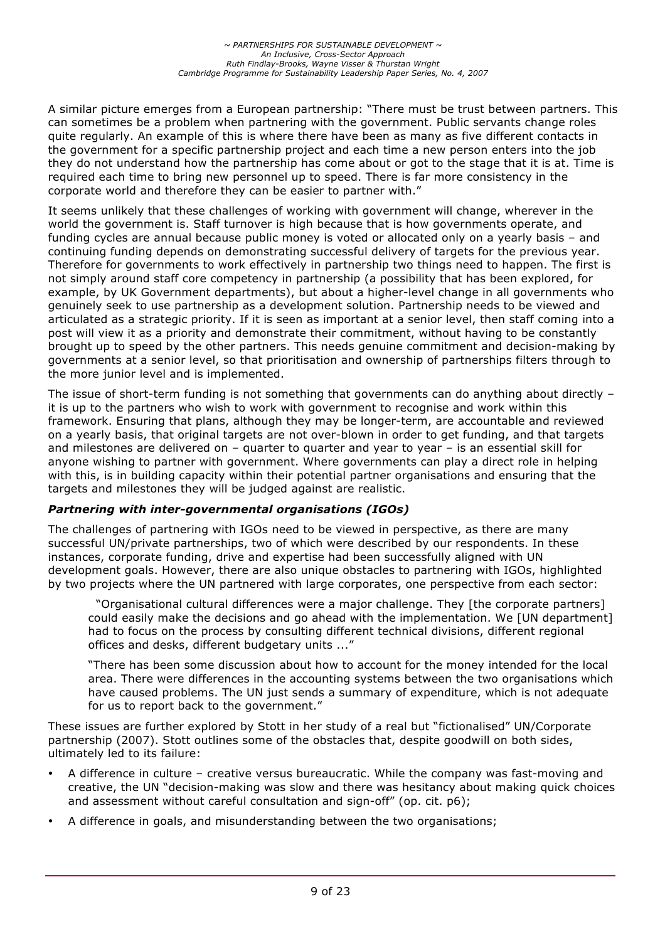A similar picture emerges from a European partnership: "There must be trust between partners. This can sometimes be a problem when partnering with the government. Public servants change roles quite regularly. An example of this is where there have been as many as five different contacts in the government for a specific partnership project and each time a new person enters into the job they do not understand how the partnership has come about or got to the stage that it is at. Time is required each time to bring new personnel up to speed. There is far more consistency in the corporate world and therefore they can be easier to partner with."

It seems unlikely that these challenges of working with government will change, wherever in the world the government is. Staff turnover is high because that is how governments operate, and funding cycles are annual because public money is voted or allocated only on a yearly basis – and continuing funding depends on demonstrating successful delivery of targets for the previous year. Therefore for governments to work effectively in partnership two things need to happen. The first is not simply around staff core competency in partnership (a possibility that has been explored, for example, by UK Government departments), but about a higher-level change in all governments who genuinely seek to use partnership as a development solution. Partnership needs to be viewed and articulated as a strategic priority. If it is seen as important at a senior level, then staff coming into a post will view it as a priority and demonstrate their commitment, without having to be constantly brought up to speed by the other partners. This needs genuine commitment and decision-making by governments at a senior level, so that prioritisation and ownership of partnerships filters through to the more junior level and is implemented.

The issue of short-term funding is not something that governments can do anything about directly – it is up to the partners who wish to work with government to recognise and work within this framework. Ensuring that plans, although they may be longer-term, are accountable and reviewed on a yearly basis, that original targets are not over-blown in order to get funding, and that targets and milestones are delivered on – quarter to quarter and year to year – is an essential skill for anyone wishing to partner with government. Where governments can play a direct role in helping with this, is in building capacity within their potential partner organisations and ensuring that the targets and milestones they will be judged against are realistic.

# *Partnering with inter-governmental organisations (IGOs)*

The challenges of partnering with IGOs need to be viewed in perspective, as there are many successful UN/private partnerships, two of which were described by our respondents. In these instances, corporate funding, drive and expertise had been successfully aligned with UN development goals. However, there are also unique obstacles to partnering with IGOs, highlighted by two projects where the UN partnered with large corporates, one perspective from each sector:

"Organisational cultural differences were a major challenge. They [the corporate partners] could easily make the decisions and go ahead with the implementation. We [UN department] had to focus on the process by consulting different technical divisions, different regional offices and desks, different budgetary units ..."

"There has been some discussion about how to account for the money intended for the local area. There were differences in the accounting systems between the two organisations which have caused problems. The UN just sends a summary of expenditure, which is not adequate for us to report back to the government."

These issues are further explored by Stott in her study of a real but "fictionalised" UN/Corporate partnership (2007). Stott outlines some of the obstacles that, despite goodwill on both sides, ultimately led to its failure:

- A difference in culture creative versus bureaucratic. While the company was fast-moving and creative, the UN "decision-making was slow and there was hesitancy about making quick choices and assessment without careful consultation and sign-off" (op. cit. p6);
- A difference in goals, and misunderstanding between the two organisations;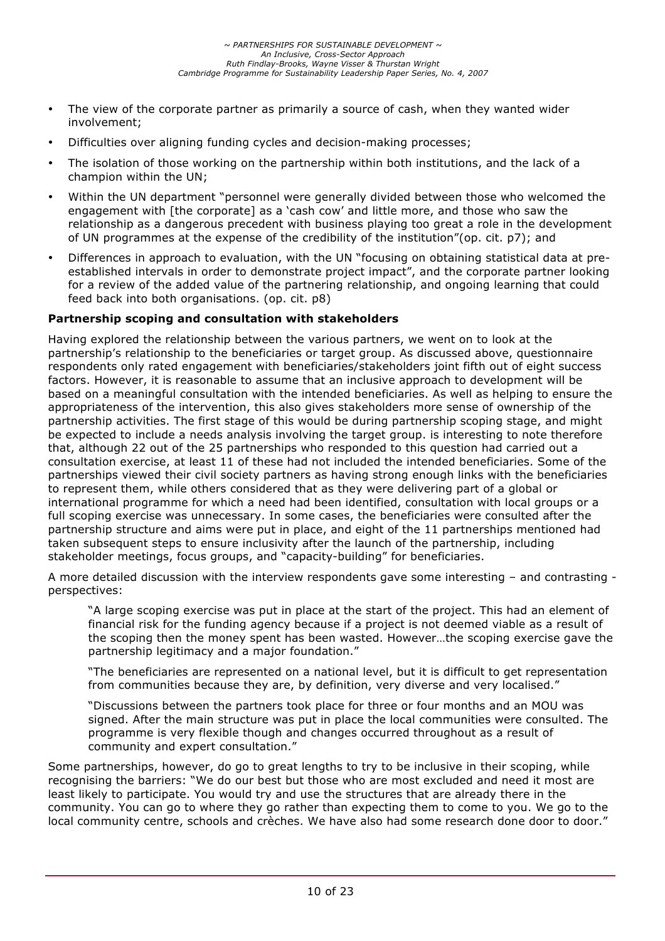- The view of the corporate partner as primarily a source of cash, when they wanted wider involvement;
- Difficulties over aligning funding cycles and decision-making processes;
- The isolation of those working on the partnership within both institutions, and the lack of a champion within the UN;
- Within the UN department "personnel were generally divided between those who welcomed the engagement with [the corporate] as a 'cash cow' and little more, and those who saw the relationship as a dangerous precedent with business playing too great a role in the development of UN programmes at the expense of the credibility of the institution"(op. cit. p7); and
- Differences in approach to evaluation, with the UN "focusing on obtaining statistical data at preestablished intervals in order to demonstrate project impact", and the corporate partner looking for a review of the added value of the partnering relationship, and ongoing learning that could feed back into both organisations. (op. cit. p8)

### **Partnership scoping and consultation with stakeholders**

Having explored the relationship between the various partners, we went on to look at the partnership's relationship to the beneficiaries or target group. As discussed above, questionnaire respondents only rated engagement with beneficiaries/stakeholders joint fifth out of eight success factors. However, it is reasonable to assume that an inclusive approach to development will be based on a meaningful consultation with the intended beneficiaries. As well as helping to ensure the appropriateness of the intervention, this also gives stakeholders more sense of ownership of the partnership activities. The first stage of this would be during partnership scoping stage, and might be expected to include a needs analysis involving the target group. is interesting to note therefore that, although 22 out of the 25 partnerships who responded to this question had carried out a consultation exercise, at least 11 of these had not included the intended beneficiaries. Some of the partnerships viewed their civil society partners as having strong enough links with the beneficiaries to represent them, while others considered that as they were delivering part of a global or international programme for which a need had been identified, consultation with local groups or a full scoping exercise was unnecessary. In some cases, the beneficiaries were consulted after the partnership structure and aims were put in place, and eight of the 11 partnerships mentioned had taken subsequent steps to ensure inclusivity after the launch of the partnership, including stakeholder meetings, focus groups, and "capacity-building" for beneficiaries.

A more detailed discussion with the interview respondents gave some interesting – and contrasting perspectives:

"A large scoping exercise was put in place at the start of the project. This had an element of financial risk for the funding agency because if a project is not deemed viable as a result of the scoping then the money spent has been wasted. However…the scoping exercise gave the partnership legitimacy and a major foundation."

"The beneficiaries are represented on a national level, but it is difficult to get representation from communities because they are, by definition, very diverse and very localised."

"Discussions between the partners took place for three or four months and an MOU was signed. After the main structure was put in place the local communities were consulted. The programme is very flexible though and changes occurred throughout as a result of community and expert consultation."

Some partnerships, however, do go to great lengths to try to be inclusive in their scoping, while recognising the barriers: "We do our best but those who are most excluded and need it most are least likely to participate. You would try and use the structures that are already there in the community. You can go to where they go rather than expecting them to come to you. We go to the local community centre, schools and crèches. We have also had some research done door to door."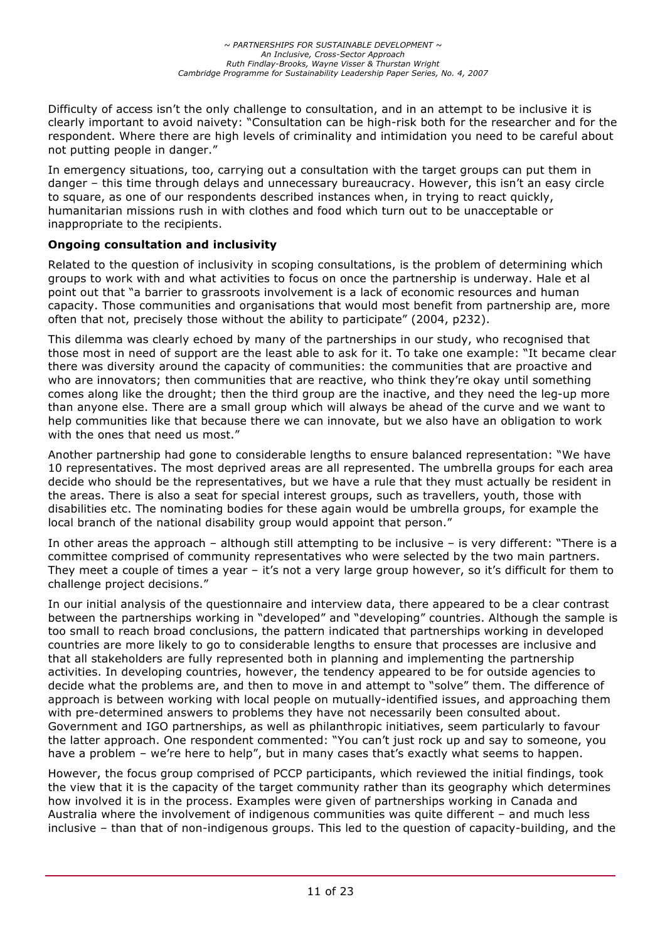Difficulty of access isn't the only challenge to consultation, and in an attempt to be inclusive it is clearly important to avoid naivety: "Consultation can be high-risk both for the researcher and for the respondent. Where there are high levels of criminality and intimidation you need to be careful about not putting people in danger."

In emergency situations, too, carrying out a consultation with the target groups can put them in danger – this time through delays and unnecessary bureaucracy. However, this isn't an easy circle to square, as one of our respondents described instances when, in trying to react quickly, humanitarian missions rush in with clothes and food which turn out to be unacceptable or inappropriate to the recipients.

### **Ongoing consultation and inclusivity**

Related to the question of inclusivity in scoping consultations, is the problem of determining which groups to work with and what activities to focus on once the partnership is underway. Hale et al point out that "a barrier to grassroots involvement is a lack of economic resources and human capacity. Those communities and organisations that would most benefit from partnership are, more often that not, precisely those without the ability to participate" (2004, p232).

This dilemma was clearly echoed by many of the partnerships in our study, who recognised that those most in need of support are the least able to ask for it. To take one example: "It became clear there was diversity around the capacity of communities: the communities that are proactive and who are innovators; then communities that are reactive, who think they're okay until something comes along like the drought; then the third group are the inactive, and they need the leg-up more than anyone else. There are a small group which will always be ahead of the curve and we want to help communities like that because there we can innovate, but we also have an obligation to work with the ones that need us most."

Another partnership had gone to considerable lengths to ensure balanced representation: "We have 10 representatives. The most deprived areas are all represented. The umbrella groups for each area decide who should be the representatives, but we have a rule that they must actually be resident in the areas. There is also a seat for special interest groups, such as travellers, youth, those with disabilities etc. The nominating bodies for these again would be umbrella groups, for example the local branch of the national disability group would appoint that person."

In other areas the approach – although still attempting to be inclusive – is very different: "There is a committee comprised of community representatives who were selected by the two main partners. They meet a couple of times a year – it's not a very large group however, so it's difficult for them to challenge project decisions."

In our initial analysis of the questionnaire and interview data, there appeared to be a clear contrast between the partnerships working in "developed" and "developing" countries. Although the sample is too small to reach broad conclusions, the pattern indicated that partnerships working in developed countries are more likely to go to considerable lengths to ensure that processes are inclusive and that all stakeholders are fully represented both in planning and implementing the partnership activities. In developing countries, however, the tendency appeared to be for outside agencies to decide what the problems are, and then to move in and attempt to "solve" them. The difference of approach is between working with local people on mutually-identified issues, and approaching them with pre-determined answers to problems they have not necessarily been consulted about. Government and IGO partnerships, as well as philanthropic initiatives, seem particularly to favour the latter approach. One respondent commented: "You can't just rock up and say to someone, you have a problem - we're here to help", but in many cases that's exactly what seems to happen.

However, the focus group comprised of PCCP participants, which reviewed the initial findings, took the view that it is the capacity of the target community rather than its geography which determines how involved it is in the process. Examples were given of partnerships working in Canada and Australia where the involvement of indigenous communities was quite different – and much less inclusive – than that of non-indigenous groups. This led to the question of capacity-building, and the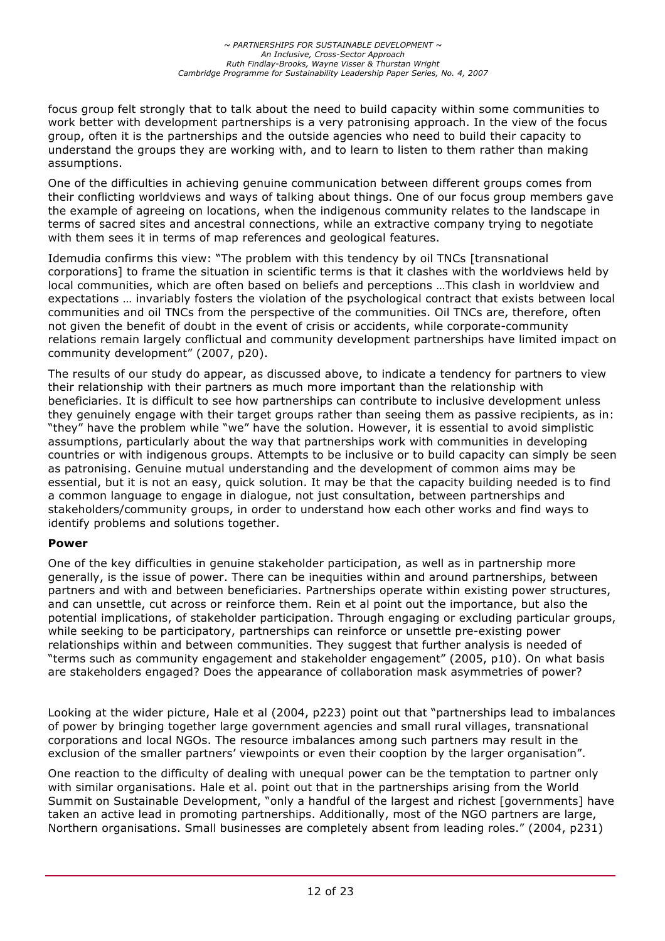focus group felt strongly that to talk about the need to build capacity within some communities to work better with development partnerships is a very patronising approach. In the view of the focus group, often it is the partnerships and the outside agencies who need to build their capacity to understand the groups they are working with, and to learn to listen to them rather than making assumptions.

One of the difficulties in achieving genuine communication between different groups comes from their conflicting worldviews and ways of talking about things. One of our focus group members gave the example of agreeing on locations, when the indigenous community relates to the landscape in terms of sacred sites and ancestral connections, while an extractive company trying to negotiate with them sees it in terms of map references and geological features.

Idemudia confirms this view: "The problem with this tendency by oil TNCs [transnational corporations] to frame the situation in scientific terms is that it clashes with the worldviews held by local communities, which are often based on beliefs and perceptions …This clash in worldview and expectations … invariably fosters the violation of the psychological contract that exists between local communities and oil TNCs from the perspective of the communities. Oil TNCs are, therefore, often not given the benefit of doubt in the event of crisis or accidents, while corporate-community relations remain largely conflictual and community development partnerships have limited impact on community development" (2007, p20).

The results of our study do appear, as discussed above, to indicate a tendency for partners to view their relationship with their partners as much more important than the relationship with beneficiaries. It is difficult to see how partnerships can contribute to inclusive development unless they genuinely engage with their target groups rather than seeing them as passive recipients, as in: "they" have the problem while "we" have the solution. However, it is essential to avoid simplistic assumptions, particularly about the way that partnerships work with communities in developing countries or with indigenous groups. Attempts to be inclusive or to build capacity can simply be seen as patronising. Genuine mutual understanding and the development of common aims may be essential, but it is not an easy, quick solution. It may be that the capacity building needed is to find a common language to engage in dialogue, not just consultation, between partnerships and stakeholders/community groups, in order to understand how each other works and find ways to identify problems and solutions together.

#### **Power**

One of the key difficulties in genuine stakeholder participation, as well as in partnership more generally, is the issue of power. There can be inequities within and around partnerships, between partners and with and between beneficiaries. Partnerships operate within existing power structures, and can unsettle, cut across or reinforce them. Rein et al point out the importance, but also the potential implications, of stakeholder participation. Through engaging or excluding particular groups, while seeking to be participatory, partnerships can reinforce or unsettle pre-existing power relationships within and between communities. They suggest that further analysis is needed of "terms such as community engagement and stakeholder engagement" (2005, p10). On what basis are stakeholders engaged? Does the appearance of collaboration mask asymmetries of power?

Looking at the wider picture, Hale et al (2004, p223) point out that "partnerships lead to imbalances of power by bringing together large government agencies and small rural villages, transnational corporations and local NGOs. The resource imbalances among such partners may result in the exclusion of the smaller partners' viewpoints or even their cooption by the larger organisation".

One reaction to the difficulty of dealing with unequal power can be the temptation to partner only with similar organisations. Hale et al. point out that in the partnerships arising from the World Summit on Sustainable Development, "only a handful of the largest and richest [governments] have taken an active lead in promoting partnerships. Additionally, most of the NGO partners are large, Northern organisations. Small businesses are completely absent from leading roles." (2004, p231)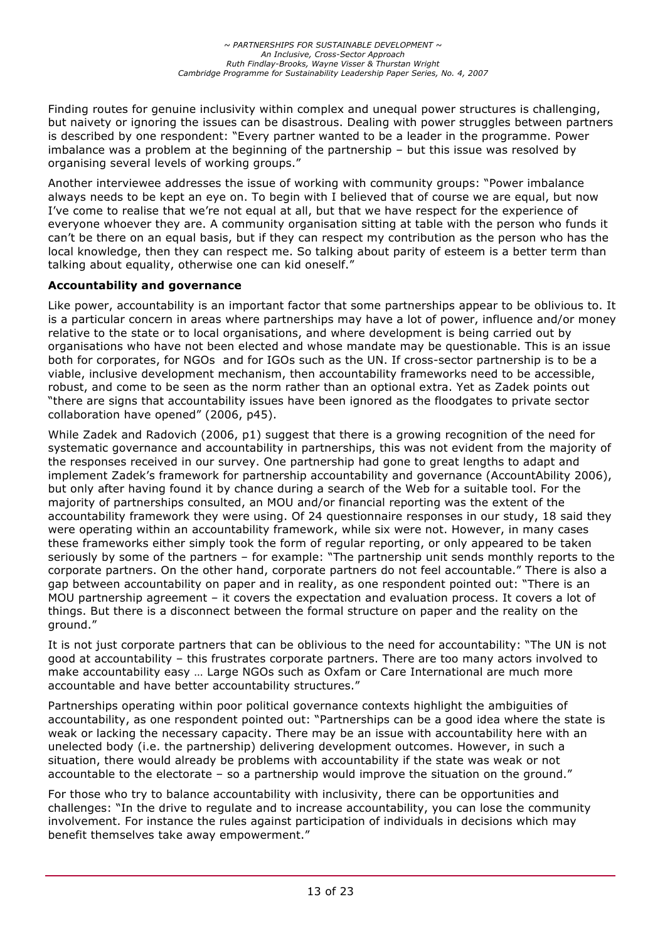Finding routes for genuine inclusivity within complex and unequal power structures is challenging, but naivety or ignoring the issues can be disastrous. Dealing with power struggles between partners is described by one respondent: "Every partner wanted to be a leader in the programme. Power imbalance was a problem at the beginning of the partnership – but this issue was resolved by organising several levels of working groups."

Another interviewee addresses the issue of working with community groups: "Power imbalance always needs to be kept an eye on. To begin with I believed that of course we are equal, but now I've come to realise that we're not equal at all, but that we have respect for the experience of everyone whoever they are. A community organisation sitting at table with the person who funds it can't be there on an equal basis, but if they can respect my contribution as the person who has the local knowledge, then they can respect me. So talking about parity of esteem is a better term than talking about equality, otherwise one can kid oneself."

# **Accountability and governance**

Like power, accountability is an important factor that some partnerships appear to be oblivious to. It is a particular concern in areas where partnerships may have a lot of power, influence and/or money relative to the state or to local organisations, and where development is being carried out by organisations who have not been elected and whose mandate may be questionable. This is an issue both for corporates, for NGOs and for IGOs such as the UN. If cross-sector partnership is to be a viable, inclusive development mechanism, then accountability frameworks need to be accessible, robust, and come to be seen as the norm rather than an optional extra. Yet as Zadek points out "there are signs that accountability issues have been ignored as the floodgates to private sector collaboration have opened" (2006, p45).

While Zadek and Radovich (2006, p1) suggest that there is a growing recognition of the need for systematic governance and accountability in partnerships, this was not evident from the majority of the responses received in our survey. One partnership had gone to great lengths to adapt and implement Zadek's framework for partnership accountability and governance (AccountAbility 2006), but only after having found it by chance during a search of the Web for a suitable tool. For the majority of partnerships consulted, an MOU and/or financial reporting was the extent of the accountability framework they were using. Of 24 questionnaire responses in our study, 18 said they were operating within an accountability framework, while six were not. However, in many cases these frameworks either simply took the form of regular reporting, or only appeared to be taken seriously by some of the partners – for example: "The partnership unit sends monthly reports to the corporate partners. On the other hand, corporate partners do not feel accountable." There is also a gap between accountability on paper and in reality, as one respondent pointed out: "There is an MOU partnership agreement – it covers the expectation and evaluation process. It covers a lot of things. But there is a disconnect between the formal structure on paper and the reality on the ground."

It is not just corporate partners that can be oblivious to the need for accountability: "The UN is not good at accountability – this frustrates corporate partners. There are too many actors involved to make accountability easy … Large NGOs such as Oxfam or Care International are much more accountable and have better accountability structures."

Partnerships operating within poor political governance contexts highlight the ambiguities of accountability, as one respondent pointed out: "Partnerships can be a good idea where the state is weak or lacking the necessary capacity. There may be an issue with accountability here with an unelected body (i.e. the partnership) delivering development outcomes. However, in such a situation, there would already be problems with accountability if the state was weak or not accountable to the electorate – so a partnership would improve the situation on the ground."

For those who try to balance accountability with inclusivity, there can be opportunities and challenges: "In the drive to regulate and to increase accountability, you can lose the community involvement. For instance the rules against participation of individuals in decisions which may benefit themselves take away empowerment."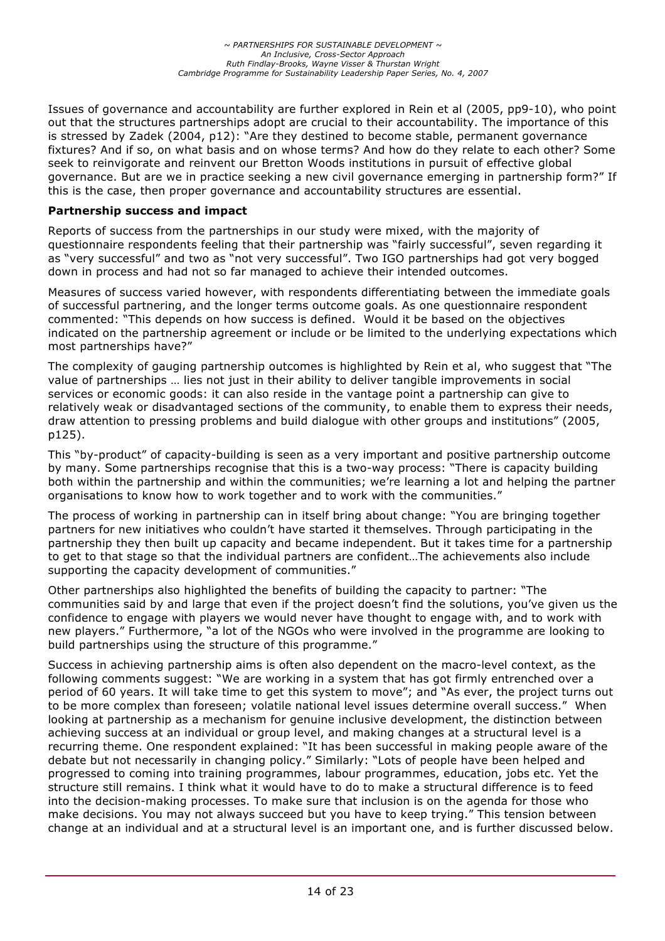Issues of governance and accountability are further explored in Rein et al (2005, pp9-10), who point out that the structures partnerships adopt are crucial to their accountability. The importance of this is stressed by Zadek (2004, p12): "Are they destined to become stable, permanent governance fixtures? And if so, on what basis and on whose terms? And how do they relate to each other? Some seek to reinvigorate and reinvent our Bretton Woods institutions in pursuit of effective global governance. But are we in practice seeking a new civil governance emerging in partnership form?" If this is the case, then proper governance and accountability structures are essential.

#### **Partnership success and impact**

Reports of success from the partnerships in our study were mixed, with the majority of questionnaire respondents feeling that their partnership was "fairly successful", seven regarding it as "very successful" and two as "not very successful". Two IGO partnerships had got very bogged down in process and had not so far managed to achieve their intended outcomes.

Measures of success varied however, with respondents differentiating between the immediate goals of successful partnering, and the longer terms outcome goals. As one questionnaire respondent commented: "This depends on how success is defined. Would it be based on the objectives indicated on the partnership agreement or include or be limited to the underlying expectations which most partnerships have?"

The complexity of gauging partnership outcomes is highlighted by Rein et al, who suggest that "The value of partnerships … lies not just in their ability to deliver tangible improvements in social services or economic goods: it can also reside in the vantage point a partnership can give to relatively weak or disadvantaged sections of the community, to enable them to express their needs, draw attention to pressing problems and build dialogue with other groups and institutions" (2005, p125).

This "by-product" of capacity-building is seen as a very important and positive partnership outcome by many. Some partnerships recognise that this is a two-way process: "There is capacity building both within the partnership and within the communities; we're learning a lot and helping the partner organisations to know how to work together and to work with the communities."

The process of working in partnership can in itself bring about change: "You are bringing together partners for new initiatives who couldn't have started it themselves. Through participating in the partnership they then built up capacity and became independent. But it takes time for a partnership to get to that stage so that the individual partners are confident…The achievements also include supporting the capacity development of communities."

Other partnerships also highlighted the benefits of building the capacity to partner: "The communities said by and large that even if the project doesn't find the solutions, you've given us the confidence to engage with players we would never have thought to engage with, and to work with new players." Furthermore, "a lot of the NGOs who were involved in the programme are looking to build partnerships using the structure of this programme."

Success in achieving partnership aims is often also dependent on the macro-level context, as the following comments suggest: "We are working in a system that has got firmly entrenched over a period of 60 years. It will take time to get this system to move"; and "As ever, the project turns out to be more complex than foreseen; volatile national level issues determine overall success." When looking at partnership as a mechanism for genuine inclusive development, the distinction between achieving success at an individual or group level, and making changes at a structural level is a recurring theme. One respondent explained: "It has been successful in making people aware of the debate but not necessarily in changing policy." Similarly: "Lots of people have been helped and progressed to coming into training programmes, labour programmes, education, jobs etc. Yet the structure still remains. I think what it would have to do to make a structural difference is to feed into the decision-making processes. To make sure that inclusion is on the agenda for those who make decisions. You may not always succeed but you have to keep trying." This tension between change at an individual and at a structural level is an important one, and is further discussed below.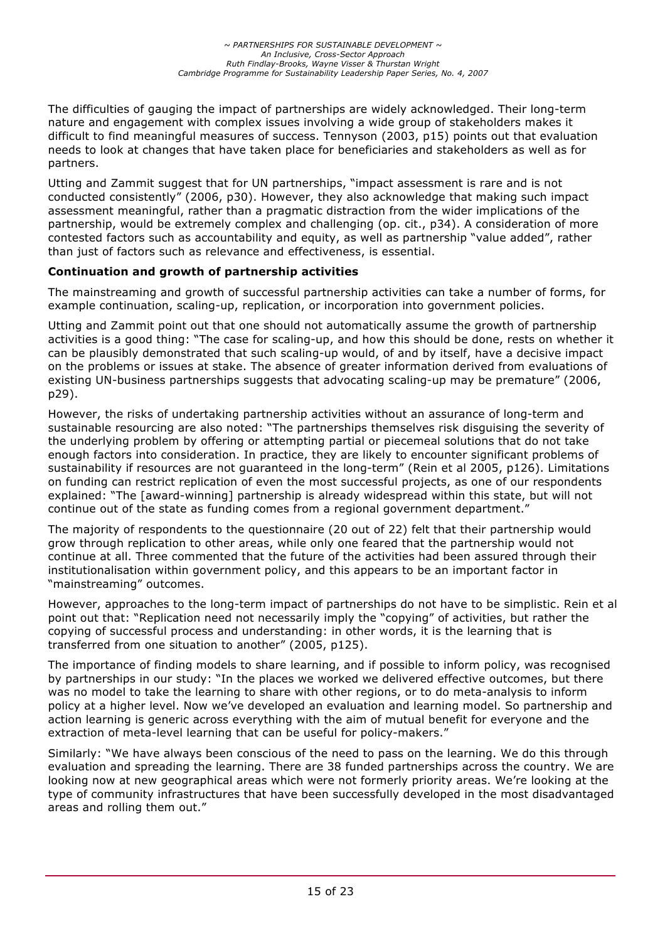The difficulties of gauging the impact of partnerships are widely acknowledged. Their long-term nature and engagement with complex issues involving a wide group of stakeholders makes it difficult to find meaningful measures of success. Tennyson (2003, p15) points out that evaluation needs to look at changes that have taken place for beneficiaries and stakeholders as well as for partners.

Utting and Zammit suggest that for UN partnerships, "impact assessment is rare and is not conducted consistently" (2006, p30). However, they also acknowledge that making such impact assessment meaningful, rather than a pragmatic distraction from the wider implications of the partnership, would be extremely complex and challenging (op. cit., p34). A consideration of more contested factors such as accountability and equity, as well as partnership "value added", rather than just of factors such as relevance and effectiveness, is essential.

# **Continuation and growth of partnership activities**

The mainstreaming and growth of successful partnership activities can take a number of forms, for example continuation, scaling-up, replication, or incorporation into government policies.

Utting and Zammit point out that one should not automatically assume the growth of partnership activities is a good thing: "The case for scaling-up, and how this should be done, rests on whether it can be plausibly demonstrated that such scaling-up would, of and by itself, have a decisive impact on the problems or issues at stake. The absence of greater information derived from evaluations of existing UN-business partnerships suggests that advocating scaling-up may be premature" (2006, p29).

However, the risks of undertaking partnership activities without an assurance of long-term and sustainable resourcing are also noted: "The partnerships themselves risk disguising the severity of the underlying problem by offering or attempting partial or piecemeal solutions that do not take enough factors into consideration. In practice, they are likely to encounter significant problems of sustainability if resources are not guaranteed in the long-term" (Rein et al 2005, p126). Limitations on funding can restrict replication of even the most successful projects, as one of our respondents explained: "The [award-winning] partnership is already widespread within this state, but will not continue out of the state as funding comes from a regional government department."

The majority of respondents to the questionnaire (20 out of 22) felt that their partnership would grow through replication to other areas, while only one feared that the partnership would not continue at all. Three commented that the future of the activities had been assured through their institutionalisation within government policy, and this appears to be an important factor in "mainstreaming" outcomes.

However, approaches to the long-term impact of partnerships do not have to be simplistic. Rein et al point out that: "Replication need not necessarily imply the "copying" of activities, but rather the copying of successful process and understanding: in other words, it is the learning that is transferred from one situation to another" (2005, p125).

The importance of finding models to share learning, and if possible to inform policy, was recognised by partnerships in our study: "In the places we worked we delivered effective outcomes, but there was no model to take the learning to share with other regions, or to do meta-analysis to inform policy at a higher level. Now we've developed an evaluation and learning model. So partnership and action learning is generic across everything with the aim of mutual benefit for everyone and the extraction of meta-level learning that can be useful for policy-makers."

Similarly: "We have always been conscious of the need to pass on the learning. We do this through evaluation and spreading the learning. There are 38 funded partnerships across the country. We are looking now at new geographical areas which were not formerly priority areas. We're looking at the type of community infrastructures that have been successfully developed in the most disadvantaged areas and rolling them out."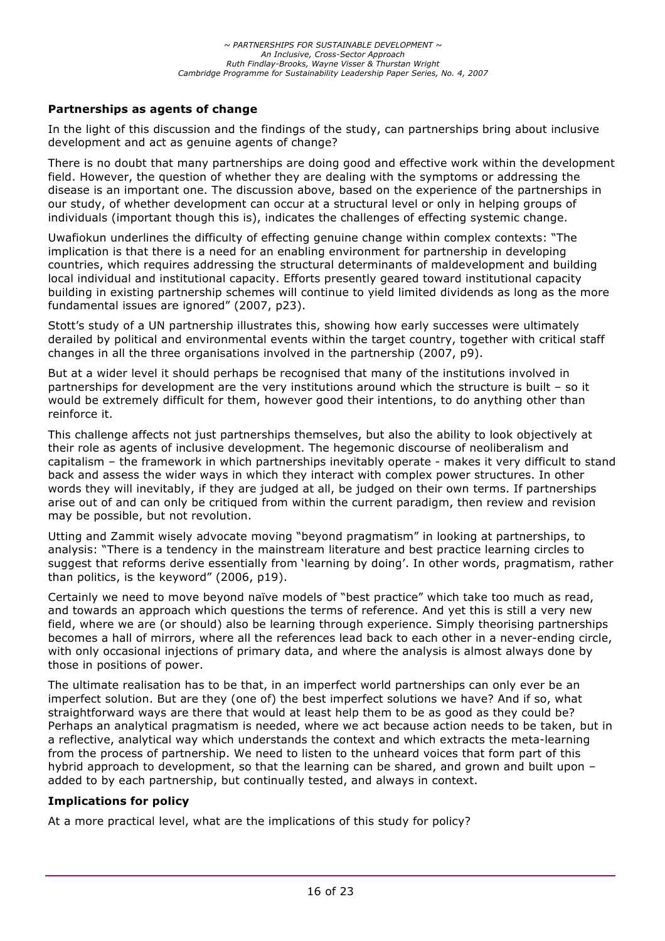#### **Partnerships as agents of change**

In the light of this discussion and the findings of the study, can partnerships bring about inclusive development and act as genuine agents of change?

There is no doubt that many partnerships are doing good and effective work within the development field. However, the question of whether they are dealing with the symptoms or addressing the disease is an important one. The discussion above, based on the experience of the partnerships in our study, of whether development can occur at a structural level or only in helping groups of individuals (important though this is), indicates the challenges of effecting systemic change.

Uwafiokun underlines the difficulty of effecting genuine change within complex contexts: "The implication is that there is a need for an enabling environment for partnership in developing countries, which requires addressing the structural determinants of maldevelopment and building local individual and institutional capacity. Efforts presently geared toward institutional capacity building in existing partnership schemes will continue to yield limited dividends as long as the more fundamental issues are ignored" (2007, p23).

Stott's study of a UN partnership illustrates this, showing how early successes were ultimately derailed by political and environmental events within the target country, together with critical staff changes in all the three organisations involved in the partnership (2007, p9).

But at a wider level it should perhaps be recognised that many of the institutions involved in partnerships for development are the very institutions around which the structure is built – so it would be extremely difficult for them, however good their intentions, to do anything other than reinforce it.

This challenge affects not just partnerships themselves, but also the ability to look objectively at their role as agents of inclusive development. The hegemonic discourse of neoliberalism and capitalism – the framework in which partnerships inevitably operate - makes it very difficult to stand back and assess the wider ways in which they interact with complex power structures. In other words they will inevitably, if they are judged at all, be judged on their own terms. If partnerships arise out of and can only be critiqued from within the current paradigm, then review and revision may be possible, but not revolution.

Utting and Zammit wisely advocate moving "beyond pragmatism" in looking at partnerships, to analysis: "There is a tendency in the mainstream literature and best practice learning circles to suggest that reforms derive essentially from 'learning by doing'. In other words, pragmatism, rather than politics, is the keyword" (2006, p19).

Certainly we need to move beyond naïve models of "best practice" which take too much as read, and towards an approach which questions the terms of reference. And yet this is still a very new field, where we are (or should) also be learning through experience. Simply theorising partnerships becomes a hall of mirrors, where all the references lead back to each other in a never-ending circle, with only occasional injections of primary data, and where the analysis is almost always done by those in positions of power.

The ultimate realisation has to be that, in an imperfect world partnerships can only ever be an imperfect solution. But are they (one of) the best imperfect solutions we have? And if so, what straightforward ways are there that would at least help them to be as good as they could be? Perhaps an analytical pragmatism is needed, where we act because action needs to be taken, but in a reflective, analytical way which understands the context and which extracts the meta-learning from the process of partnership. We need to listen to the unheard voices that form part of this hybrid approach to development, so that the learning can be shared, and grown and built upon – added to by each partnership, but continually tested, and always in context.

#### **Implications for policy**

At a more practical level, what are the implications of this study for policy?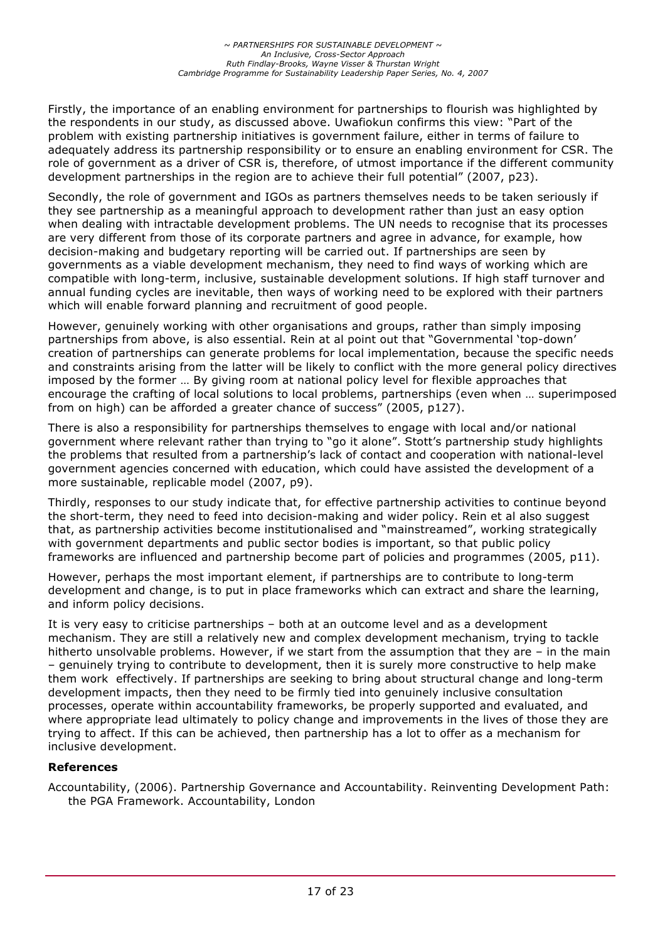Firstly, the importance of an enabling environment for partnerships to flourish was highlighted by the respondents in our study, as discussed above. Uwafiokun confirms this view: "Part of the problem with existing partnership initiatives is government failure, either in terms of failure to adequately address its partnership responsibility or to ensure an enabling environment for CSR. The role of government as a driver of CSR is, therefore, of utmost importance if the different community development partnerships in the region are to achieve their full potential" (2007, p23).

Secondly, the role of government and IGOs as partners themselves needs to be taken seriously if they see partnership as a meaningful approach to development rather than just an easy option when dealing with intractable development problems. The UN needs to recognise that its processes are very different from those of its corporate partners and agree in advance, for example, how decision-making and budgetary reporting will be carried out. If partnerships are seen by governments as a viable development mechanism, they need to find ways of working which are compatible with long-term, inclusive, sustainable development solutions. If high staff turnover and annual funding cycles are inevitable, then ways of working need to be explored with their partners which will enable forward planning and recruitment of good people.

However, genuinely working with other organisations and groups, rather than simply imposing partnerships from above, is also essential. Rein at al point out that "Governmental 'top-down' creation of partnerships can generate problems for local implementation, because the specific needs and constraints arising from the latter will be likely to conflict with the more general policy directives imposed by the former … By giving room at national policy level for flexible approaches that encourage the crafting of local solutions to local problems, partnerships (even when … superimposed from on high) can be afforded a greater chance of success" (2005, p127).

There is also a responsibility for partnerships themselves to engage with local and/or national government where relevant rather than trying to "go it alone". Stott's partnership study highlights the problems that resulted from a partnership's lack of contact and cooperation with national-level government agencies concerned with education, which could have assisted the development of a more sustainable, replicable model (2007, p9).

Thirdly, responses to our study indicate that, for effective partnership activities to continue beyond the short-term, they need to feed into decision-making and wider policy. Rein et al also suggest that, as partnership activities become institutionalised and "mainstreamed", working strategically with government departments and public sector bodies is important, so that public policy frameworks are influenced and partnership become part of policies and programmes (2005, p11).

However, perhaps the most important element, if partnerships are to contribute to long-term development and change, is to put in place frameworks which can extract and share the learning, and inform policy decisions.

It is very easy to criticise partnerships – both at an outcome level and as a development mechanism. They are still a relatively new and complex development mechanism, trying to tackle hitherto unsolvable problems. However, if we start from the assumption that they are – in the main – genuinely trying to contribute to development, then it is surely more constructive to help make them work effectively. If partnerships are seeking to bring about structural change and long-term development impacts, then they need to be firmly tied into genuinely inclusive consultation processes, operate within accountability frameworks, be properly supported and evaluated, and where appropriate lead ultimately to policy change and improvements in the lives of those they are trying to affect. If this can be achieved, then partnership has a lot to offer as a mechanism for inclusive development.

# **References**

Accountability, (2006). Partnership Governance and Accountability. Reinventing Development Path: the PGA Framework. Accountability, London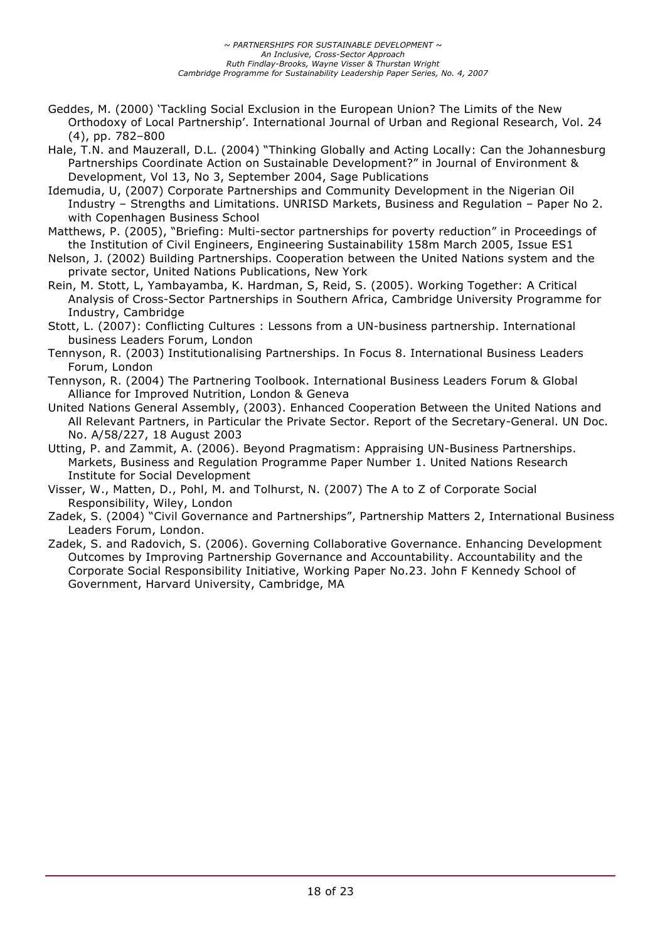- Geddes, M. (2000) 'Tackling Social Exclusion in the European Union? The Limits of the New Orthodoxy of Local Partnership'. International Journal of Urban and Regional Research, Vol. 24 (4), pp. 782–800
- Hale, T.N. and Mauzerall, D.L. (2004) "Thinking Globally and Acting Locally: Can the Johannesburg Partnerships Coordinate Action on Sustainable Development?" in Journal of Environment & Development, Vol 13, No 3, September 2004, Sage Publications
- Idemudia, U, (2007) Corporate Partnerships and Community Development in the Nigerian Oil Industry – Strengths and Limitations. UNRISD Markets, Business and Regulation – Paper No 2. with Copenhagen Business School
- Matthews, P. (2005), "Briefing: Multi-sector partnerships for poverty reduction" in Proceedings of the Institution of Civil Engineers, Engineering Sustainability 158m March 2005, Issue ES1
- Nelson, J. (2002) Building Partnerships. Cooperation between the United Nations system and the private sector, United Nations Publications, New York
- Rein, M. Stott, L, Yambayamba, K. Hardman, S, Reid, S. (2005). Working Together: A Critical Analysis of Cross-Sector Partnerships in Southern Africa, Cambridge University Programme for Industry, Cambridge
- Stott, L. (2007): Conflicting Cultures : Lessons from a UN-business partnership. International business Leaders Forum, London
- Tennyson, R. (2003) Institutionalising Partnerships. In Focus 8. International Business Leaders Forum, London
- Tennyson, R. (2004) The Partnering Toolbook. International Business Leaders Forum & Global Alliance for Improved Nutrition, London & Geneva
- United Nations General Assembly, (2003). Enhanced Cooperation Between the United Nations and All Relevant Partners, in Particular the Private Sector. Report of the Secretary-General. UN Doc. No. A/58/227, 18 August 2003
- Utting, P. and Zammit, A. (2006). Beyond Pragmatism: Appraising UN-Business Partnerships. Markets, Business and Regulation Programme Paper Number 1. United Nations Research Institute for Social Development
- Visser, W., Matten, D., Pohl, M. and Tolhurst, N. (2007) The A to Z of Corporate Social Responsibility, Wiley, London
- Zadek, S. (2004) "Civil Governance and Partnerships", Partnership Matters 2, International Business Leaders Forum, London.
- Zadek, S. and Radovich, S. (2006). Governing Collaborative Governance. Enhancing Development Outcomes by Improving Partnership Governance and Accountability. Accountability and the Corporate Social Responsibility Initiative, Working Paper No.23. John F Kennedy School of Government, Harvard University, Cambridge, MA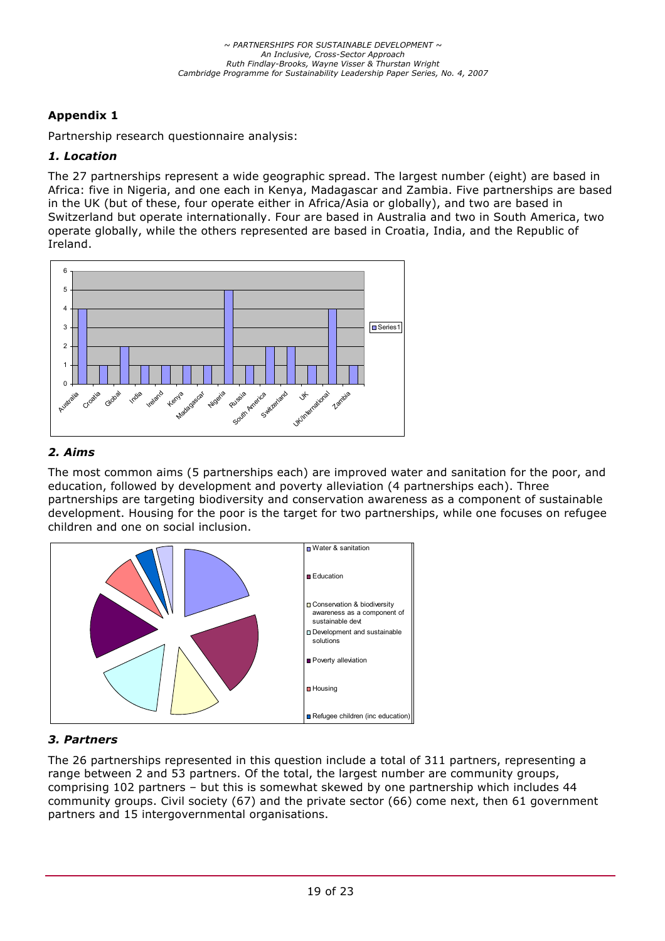# **Appendix 1**

Partnership research questionnaire analysis:

# *1. Location*

The 27 partnerships represent a wide geographic spread. The largest number (eight) are based in Africa: five in Nigeria, and one each in Kenya, Madagascar and Zambia. Five partnerships are based in the UK (but of these, four operate either in Africa/Asia or globally), and two are based in Switzerland but operate internationally. Four are based in Australia and two in South America, two operate globally, while the others represented are based in Croatia, India, and the Republic of Ireland.



# *2. Aims*

The most common aims (5 partnerships each) are improved water and sanitation for the poor, and education, followed by development and poverty alleviation (4 partnerships each). Three partnerships are targeting biodiversity and conservation awareness as a component of sustainable development. Housing for the poor is the target for two partnerships, while one focuses on refugee children and one on social inclusion.



# **3. Partners**

The 26 partnerships represented in this question include a total of 311 partners, representing a range between 2 and 53 partners. Of the total, the largest number are community groups, comprising 102 partners – but this is somewhat skewed by one partnership which includes 44 community groups. Civil society (67) and the private sector (66) come next, then 61 government partners and 15 intergovernmental organisations.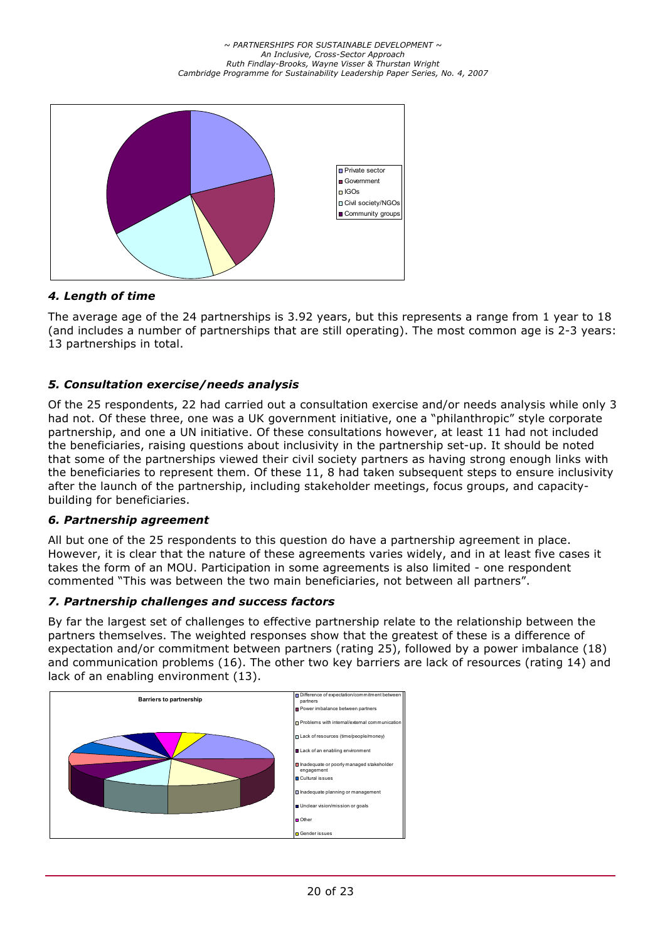

# *4. Length of time*

The average age of the 24 partnerships is 3.92 years, but this represents a range from 1 year to 18 (and includes a number of partnerships that are still operating). The most common age is 2-3 years: 13 partnerships in total.

# *5. Consultation exercise/needs analysis*

Of the 25 respondents, 22 had carried out a consultation exercise and/or needs analysis while only 3 had not. Of these three, one was a UK government initiative, one a "philanthropic" style corporate partnership, and one a UN initiative. Of these consultations however, at least 11 had not included the beneficiaries, raising questions about inclusivity in the partnership set-up. It should be noted that some of the partnerships viewed their civil society partners as having strong enough links with the beneficiaries to represent them. Of these 11, 8 had taken subsequent steps to ensure inclusivity after the launch of the partnership, including stakeholder meetings, focus groups, and capacitybuilding for beneficiaries.

# *6. Partnership agreement*

All but one of the 25 respondents to this question do have a partnership agreement in place. However, it is clear that the nature of these agreements varies widely, and in at least five cases it takes the form of an MOU. Participation in some agreements is also limited - one respondent commented "This was between the two main beneficiaries, not between all partners".

# *7. Partnership challenges and success factors*

By far the largest set of challenges to effective partnership relate to the relationship between the partners themselves. The weighted responses show that the greatest of these is a difference of expectation and/or commitment between partners (rating 25), followed by a power imbalance (18) and communication problems (16). The other two key barriers are lack of resources (rating 14) and lack of an enabling environment (13).

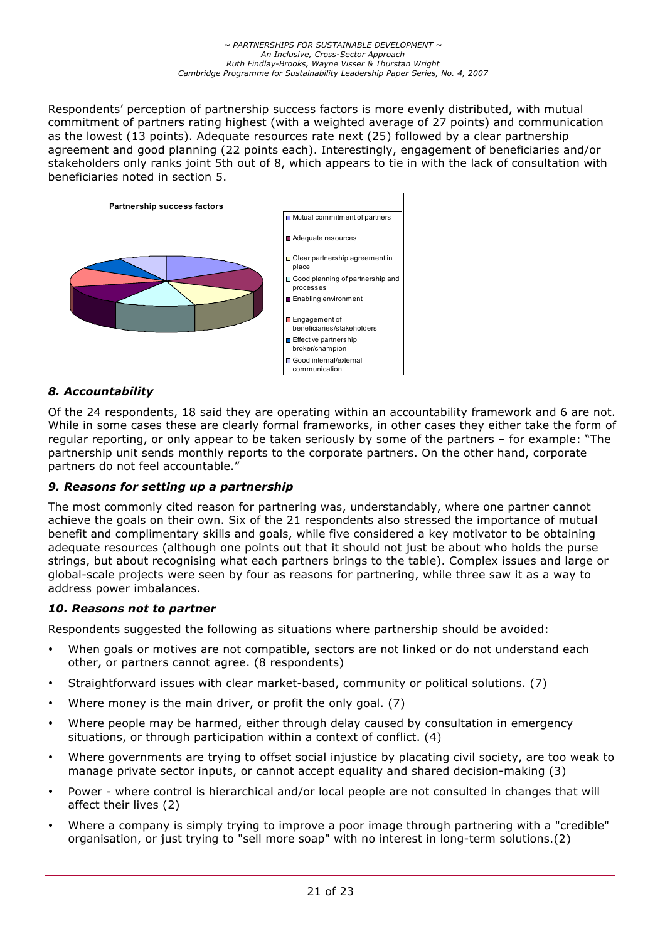Respondents' perception of partnership success factors is more evenly distributed, with mutual commitment of partners rating highest (with a weighted average of 27 points) and communication as the lowest (13 points). Adequate resources rate next (25) followed by a clear partnership agreement and good planning (22 points each). Interestingly, engagement of beneficiaries and/or stakeholders only ranks joint 5th out of 8, which appears to tie in with the lack of consultation with beneficiaries noted in section 5.



# *8. Accountability*

Of the 24 respondents, 18 said they are operating within an accountability framework and 6 are not. While in some cases these are clearly formal frameworks, in other cases they either take the form of regular reporting, or only appear to be taken seriously by some of the partners – for example: "The partnership unit sends monthly reports to the corporate partners. On the other hand, corporate partners do not feel accountable."

# *9. Reasons for setting up a partnership*

The most commonly cited reason for partnering was, understandably, where one partner cannot achieve the goals on their own. Six of the 21 respondents also stressed the importance of mutual benefit and complimentary skills and goals, while five considered a key motivator to be obtaining adequate resources (although one points out that it should not just be about who holds the purse strings, but about recognising what each partners brings to the table). Complex issues and large or global-scale projects were seen by four as reasons for partnering, while three saw it as a way to address power imbalances.

# *10. Reasons not to partner*

Respondents suggested the following as situations where partnership should be avoided:

- When goals or motives are not compatible, sectors are not linked or do not understand each other, or partners cannot agree. (8 respondents)
- Straightforward issues with clear market-based, community or political solutions. (7)
- Where money is the main driver, or profit the only goal. (7)
- Where people may be harmed, either through delay caused by consultation in emergency situations, or through participation within a context of conflict. (4)
- Where governments are trying to offset social injustice by placating civil society, are too weak to manage private sector inputs, or cannot accept equality and shared decision-making (3)
- Power where control is hierarchical and/or local people are not consulted in changes that will affect their lives (2)
- Where a company is simply trying to improve a poor image through partnering with a "credible" organisation, or just trying to "sell more soap" with no interest in long-term solutions.(2)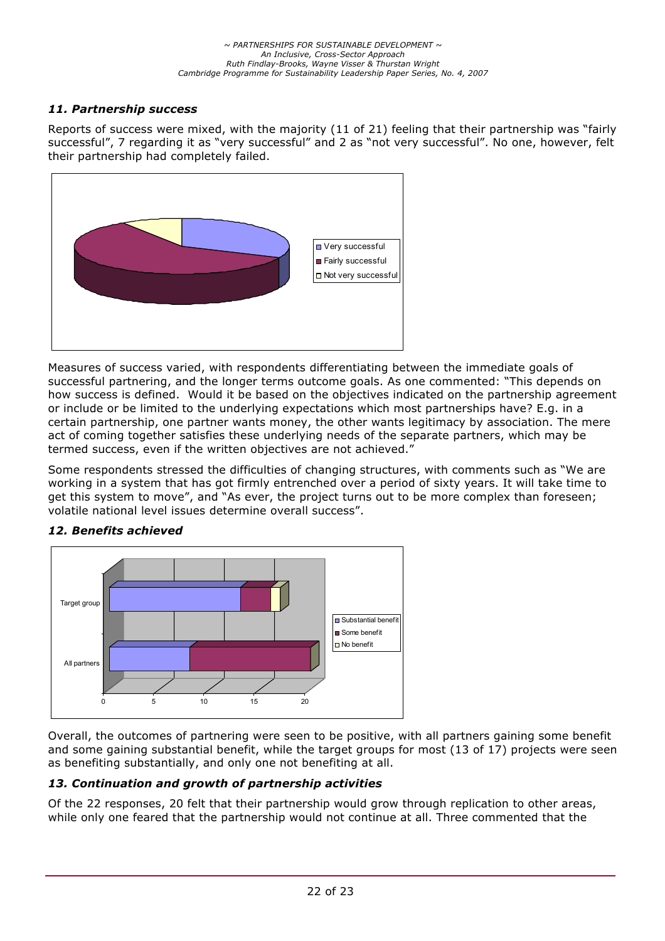# *11. Partnership success*

Reports of success were mixed, with the majority (11 of 21) feeling that their partnership was "fairly successful", 7 regarding it as "very successful" and 2 as "not very successful". No one, however, felt their partnership had completely failed.



Measures of success varied, with respondents differentiating between the immediate goals of successful partnering, and the longer terms outcome goals. As one commented: "This depends on how success is defined. Would it be based on the objectives indicated on the partnership agreement or include or be limited to the underlying expectations which most partnerships have? E.g. in a certain partnership, one partner wants money, the other wants legitimacy by association. The mere act of coming together satisfies these underlying needs of the separate partners, which may be termed success, even if the written objectives are not achieved."

Some respondents stressed the difficulties of changing structures, with comments such as "We are working in a system that has got firmly entrenched over a period of sixty years. It will take time to get this system to move", and "As ever, the project turns out to be more complex than foreseen; volatile national level issues determine overall success".



# *12. Benefits achieved*

Overall, the outcomes of partnering were seen to be positive, with all partners gaining some benefit and some gaining substantial benefit, while the target groups for most (13 of 17) projects were seen as benefiting substantially, and only one not benefiting at all.

# *13. Continuation and growth of partnership activities*

Of the 22 responses, 20 felt that their partnership would grow through replication to other areas, while only one feared that the partnership would not continue at all. Three commented that the